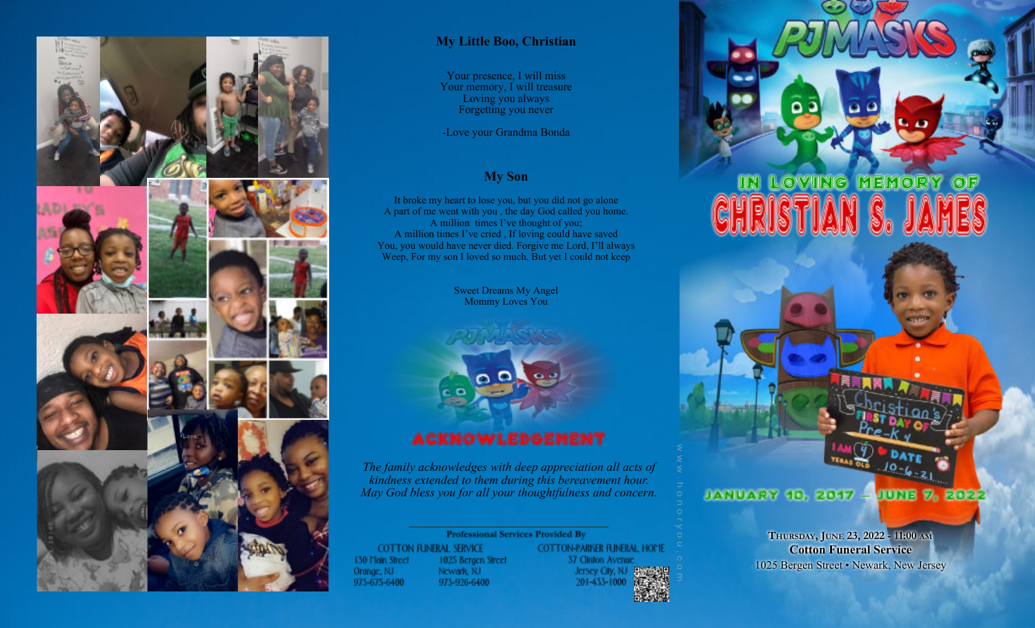

## **My Little Boo, Christian**

Your presence, I will miss Your memory, I will treasure Loving you always Forgetting you never

-Love your Grandma Bonda

### **My Son**

It broke my heart to lose you, but you did not go alone A part of me went with you , the day God called you home. A million times I've thought of you; A million times I've cried , If loving could have saved You, you would have never died. Forgive me Lord, I'll always Weep, For my son I loved so much, But yet I could not keep

> Sweet Dreams My Angel Mommy Loves You



*The family acknowledges with deep appreciation all acts of kindness extended to them during this bereavement hour. May God bless you for all your thoughtfulness and concern.*

### **Professional Services Provided By COTTON FUNERAL SERVICE** 130 Main Street 1025 Bergen Street Orange, NJ Newark, NJ 973-675-6400 973-926-6400

COTTON-PARKER FUNERAL HOME 37 Cinton Avenue Jersey City, NJ 图题 201-433-1000

# IN LOVING MEMORY

JANUARY 10, 2017 JUNE 7, 2022

> **THURSDAY, JUNE 23, 2022 - 11:00 AM Cotton Funeral Service** 1025 Bergen Street • Newark, New Jersey